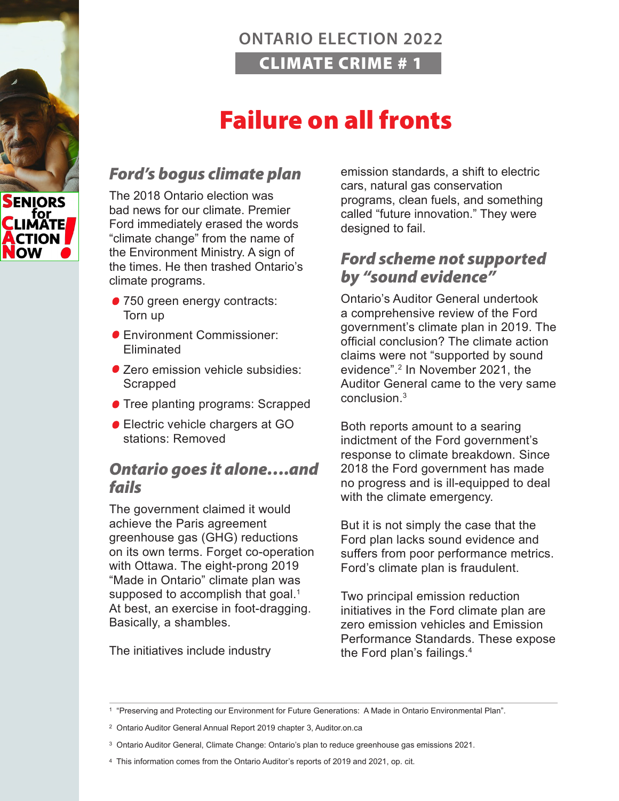

# Failure on all fronts

#### *Ford's bogus climate plan*

The 2018 Ontario election was bad news for our climate. Premier Ford immediately erased the words "climate change" from the name of the Environment Ministry. A sign of the times. He then trashed Ontario's climate programs.

- 750 green energy contracts: Torn up
- Environment Commissioner: Eliminated
- Zero emission vehicle subsidies: Scrapped
- **Tree planting programs: Scrapped**
- **Electric vehicle chargers at GO** stations: Removed

#### *Ontario goes it alone….and fails*

The government claimed it would achieve the Paris agreement greenhouse gas (GHG) reductions on its own terms. Forget co-operation with Ottawa. The eight-prong 2019 "Made in Ontario" climate plan was supposed to accomplish that goal.<sup>1</sup> At best, an exercise in foot-dragging. Basically, a shambles.

The initiatives include industry

emission standards, a shift to electric cars, natural gas conservation programs, clean fuels, and something called "future innovation." They were designed to fail.

#### *Ford scheme not supported by "sound evidence"*

Ontario's Auditor General undertook a comprehensive review of the Ford government's climate plan in 2019. The official conclusion? The climate action claims were not "supported by sound evidence".2 In November 2021, the Auditor General came to the very same conclusion<sup>3</sup>

Both reports amount to a searing indictment of the Ford government's response to climate breakdown. Since 2018 the Ford government has made no progress and is ill-equipped to deal with the climate emergency.

But it is not simply the case that the Ford plan lacks sound evidence and suffers from poor performance metrics. Ford's climate plan is fraudulent.

Two principal emission reduction initiatives in the Ford climate plan are zero emission vehicles and Emission Performance Standards. These expose the Ford plan's failings.4



<sup>1 &</sup>quot;Preserving and Protecting our Environment for Future Generations: A Made in Ontario Environmental Plan".

<sup>2</sup> Ontario Auditor General Annual Report 2019 chapter 3, Auditor.on.ca

<sup>3</sup> Ontario Auditor General, Climate Change: Ontario's plan to reduce greenhouse gas emissions 2021.

<sup>4</sup> This information comes from the Ontario Auditor's reports of 2019 and 2021, op. cit.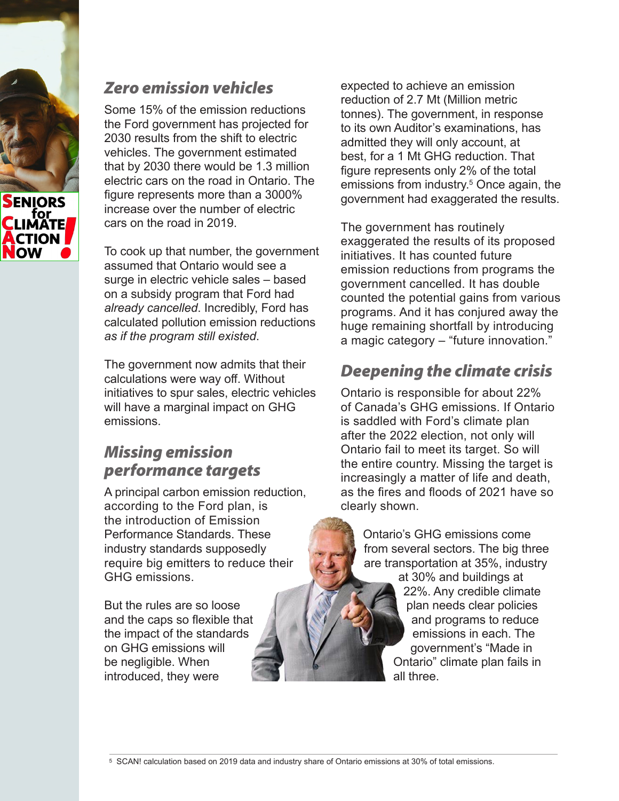

### *Zero emission vehicles*

Some 15% of the emission reductions the Ford government has projected for 2030 results from the shift to electric vehicles. The government estimated that by 2030 there would be 1.3 million electric cars on the road in Ontario. The figure represents more than a 3000% increase over the number of electric cars on the road in 2019.

To cook up that number, the government assumed that Ontario would see a surge in electric vehicle sales – based on a subsidy program that Ford had *already cancelled*. Incredibly, Ford has calculated pollution emission reductions *as if the program still existed*.

The government now admits that their calculations were way off. Without initiatives to spur sales, electric vehicles will have a marginal impact on GHG emissions.

# *Missing emission performance targets*

A principal carbon emission reduction, according to the Ford plan, is the introduction of Emission Performance Standards. These industry standards supposedly require big emitters to reduce their GHG emissions.

But the rules are so loose and the caps so flexible that the impact of the standards on GHG emissions will be negligible. When introduced, they were

expected to achieve an emission reduction of 2.7 Mt (Million metric tonnes). The government, in response to its own Auditor's examinations, has admitted they will only account, at best, for a 1 Mt GHG reduction. That figure represents only 2% of the total emissions from industry.5 Once again, the government had exaggerated the results.

The government has routinely exaggerated the results of its proposed initiatives. It has counted future emission reductions from programs the government cancelled. It has double counted the potential gains from various programs. And it has conjured away the huge remaining shortfall by introducing a magic category – "future innovation."

# *Deepening the climate crisis*

Ontario is responsible for about 22% of Canada's GHG emissions. If Ontario is saddled with Ford's climate plan after the 2022 election, not only will Ontario fail to meet its target. So will the entire country. Missing the target is increasingly a matter of life and death, as the fires and floods of 2021 have so clearly shown.

> Ontario's GHG emissions come from several sectors. The big three are transportation at 35%, industry at 30% and buildings at 22%. Any credible climate plan needs clear policies and programs to reduce emissions in each. The government's "Made in Ontario" climate plan fails in all three.